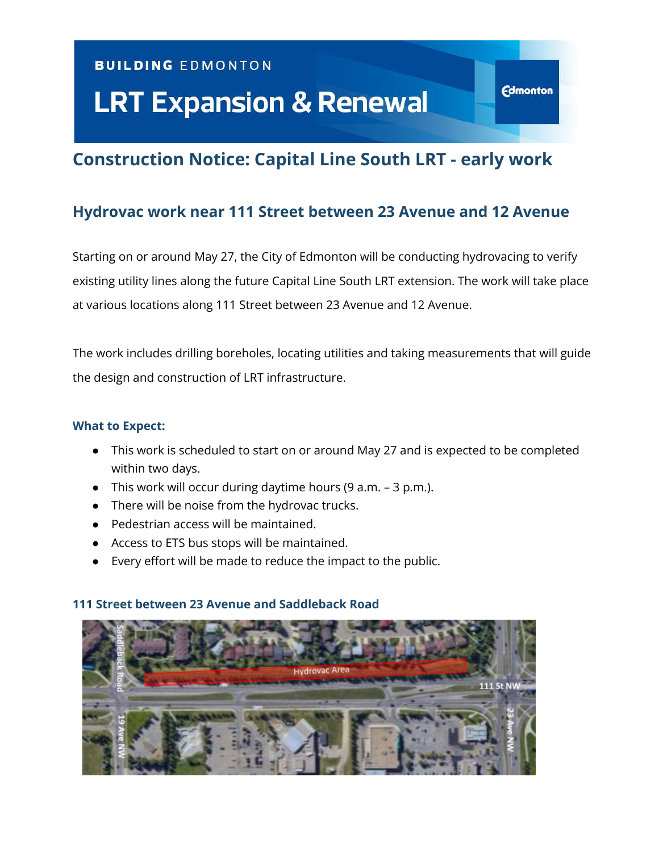## **BUILDING EDMONTON**

# **LRT Expansion & Renewal**

# **Construction Notice: Capital Line South LRT - early work**

**Edmonton** 

# **Hydrovac work near 111 Street between 23 Avenue and 12 Avenue**

Starting on or around May 27, the City of Edmonton will be conducting hydrovacing to verify existing utility lines along the future Capital Line South LRT extension. The work will take place at various locations along 111 Street between 23 Avenue and 12 Avenue.

The work includes drilling boreholes, locating utilities and taking measurements that will guide the design and construction of LRT infrastructure.

#### **What to Expect:**

- This work is scheduled to start on or around May 27 and is expected to be completed within two days.
- This work will occur during daytime hours (9 a.m. 3 p.m.).
- There will be noise from the hydrovac trucks.
- Pedestrian access will be maintained.
- Access to ETS bus stops will be maintained.
- Every effort will be made to reduce the impact to the public.

#### **111 Street between 23 Avenue and Saddleback Road**